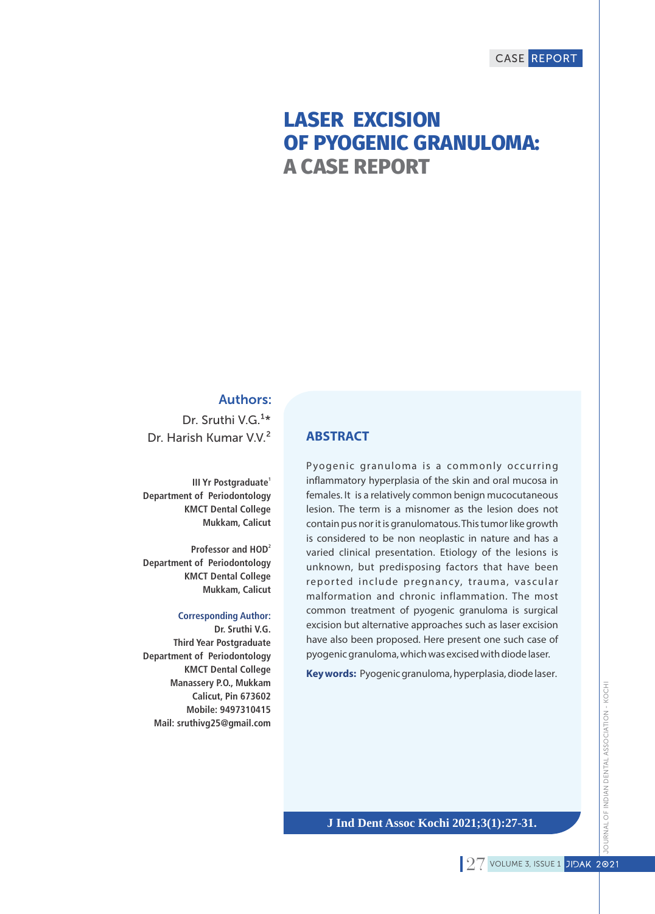# **LASER EXCISION OF PYOGENIC GRANULOMA: A CASE REPORT**

### Authors:

Dr. Sruthi V.G.<sup>1\*</sup> Dr. Harish Kumar V.V.²

**1 III Yr Postgraduate Department of Periodontology KMCT Dental College Mukkam, Calicut**

**2 Professor and HOD Department of Periodontology KMCT Dental College Mukkam, Calicut**

#### **Corresponding Author:**

**Dr. Sruthi V.G. Third Year Postgraduate Department of Periodontology KMCT Dental College Manassery P.O., Mukkam Calicut, Pin 673602 Mobile: 9497310415 Mail: sruthivg25@gmail.com**

#### **ABSTRACT**

Pyogenic granuloma is a commonly occurring inflammatory hyperplasia of the skin and oral mucosa in females. It is a relatively common benign mucocutaneous lesion. The term is a misnomer as the lesion does not contain pus nor it is granulomatous. This tumor like growth is considered to be non neoplastic in nature and has a varied clinical presentation. Etiology of the lesions is unknown, but predisposing factors that have been reported include pregnancy, trauma, vascular malformation and chronic inflammation. The most common treatment of pyogenic granuloma is surgical excision but alternative approaches such as laser excision have also been proposed. Here present one such case of pyogenic granuloma, which was excised with diode laser.

**Key words:** Pyogenic granuloma, hyperplasia, diode laser.

**J Ind Dent Assoc Kochi 2021;3(1):27-31.**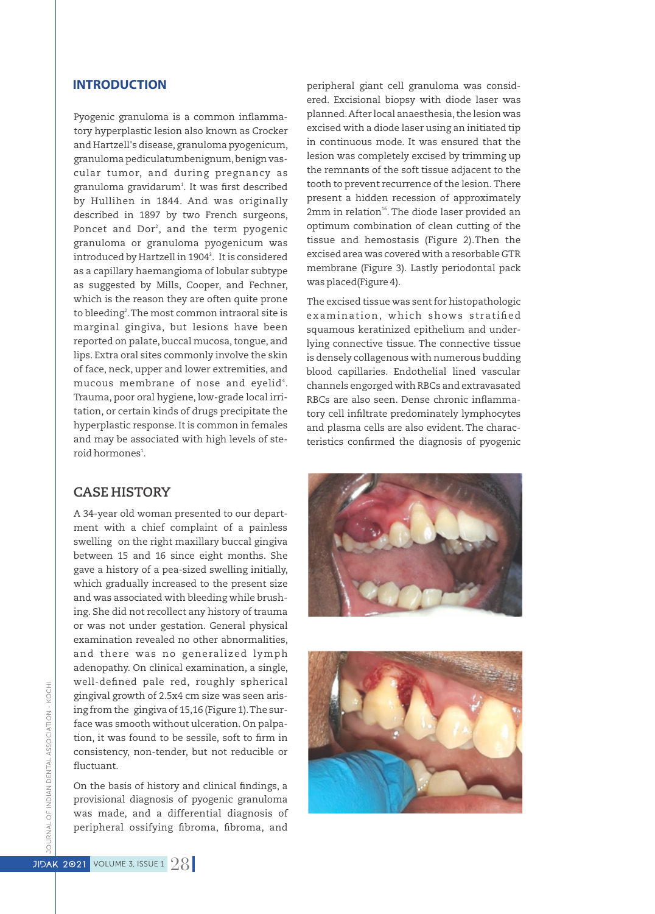#### **INTRODUCTION**

Pyogenic granuloma is a common inflammatory hyperplastic lesion also known as Crocker and Hartzell's disease, granuloma pyogenicum, granuloma pediculatumbenignum,benign vascular tumor, and during pregnancy as granuloma gravidarum<sup>1</sup>. It was first described by Hullihen in 1844. And was originally described in 1897 by two French surgeons, Poncet and Dor<sup>2</sup>, and the term pyogenic granuloma or granuloma pyogenicum was introduced by Hartzell in 1904<sup>3</sup>. It is considered as a capillary haemangioma of lobular subtype as suggested by Mills, Cooper, and Fechner, which is the reason they are often quite prone to bleeding<sup>2</sup>. The most common intraoral site is marginal gingiva, but lesions have been reported on palate, buccal mucosa, tongue, and lips. Extra oral sites commonly involve the skin of face, neck, upper and lower extremities, and mucous membrane of nose and eyelid $^\text{4}\text{.}$ Trauma, poor oral hygiene, low-grade local irritation, or certain kinds of drugs precipitate the hyperplastic response.It is common in females and may be associated with high levels of steroid hormones<sup>1</sup>.

#### **CASE HISTORY**

A 34-year old woman presented to our department with a chief complaint of a painless swelling on the right maxillary buccal gingiva between 15 and 16 since eight months. She gave a history of a pea-sized swelling initially, which gradually increased to the present size and was associated with bleeding while brushing. She did not recollect any history of trauma or was not under gestation. General physical examination revealed no other abnormalities, and there was no generalized lymph adenopathy. On clinical examination, a single, well-defined pale red, roughly spherical gingival growth of 2.5x4 cm size was seen arising from the gingiva of 15,16 (Figure 1).The surface was smooth without ulceration. On palpation, it was found to be sessile, soft to firm in consistency, non-tender, but not reducible or fluctuant.

On the basis of history and clinical findings, a provisional diagnosis of pyogenic granuloma was made, and a differential diagnosis of peripheral ossifying fibroma, fibroma, and

peripheral giant cell granuloma was considered. Excisional biopsy with diode laser was planned. After local anaesthesia, the lesion was excised with a diode laser using an initiated tip in continuous mode. It was ensured that the lesion was completely excised by trimming up the remnants of the soft tissue adjacent to the tooth to prevent recurrence of the lesion. There present a hidden recession of approximately 2mm in relation<sup>16</sup>. The diode laser provided an optimum combination of clean cutting of the tissue and hemostasis (Figure 2).Then the excised area was covered with a resorbable GTR membrane (Figure 3). Lastly periodontal pack was placed(Figure 4).

The excised tissue was sent for histopathologic examination, which shows stratified squamous keratinized epithelium and underlying connective tissue. The connective tissue is densely collagenous with numerous budding blood capillaries. Endothelial lined vascular channels engorged with RBCs and extravasated RBCs are also seen. Dense chronic inflammatory cell infiltrate predominately lymphocytes and plasma cells are also evident. The characteristics confirmed the diagnosis of pyogenic



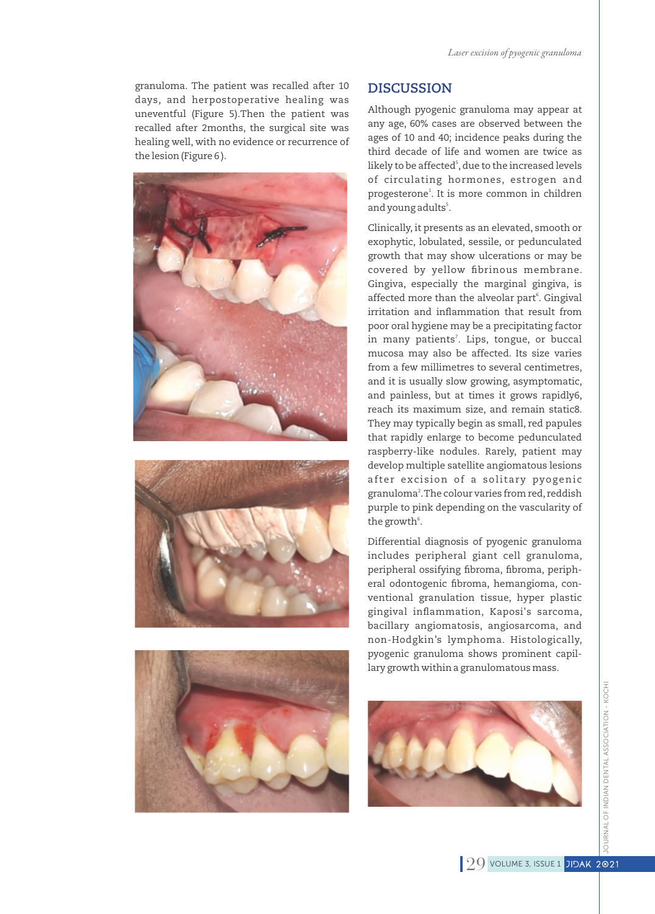granuloma. The patient was recalled after 10 days, and herpostoperative healing was uneventful (Figure 5).Then the patient was recalled after 2months, the surgical site was healing well, with no evidence or recurrence of the lesion (Figure 6 ).







#### **DISCUSSION**

Although pyogenic granuloma may appear at any age, 60% cases are observed between the ages of 10 and 40; incidence peaks during the third decade of life and women are twice as likely to be affected<sup>s</sup>, due to the increased levels of circulating hormones, estrogen and progesterone<sup>1</sup>. It is more common in children and young adults<sup>5</sup>.

Clinically, it presents as an elevated, smooth or exophytic, lobulated, sessile, or pedunculated growth that may show ulcerations or may be covered by yellow fibrinous membrane. Gingiva, especially the marginal gingiva, is affected more than the alveolar part<sup>6</sup>. Gingival irritation and inflammation that result from poor oral hygiene may be a precipitating factor in many patients<sup>7</sup>. Lips, tongue, or buccal mucosa may also be affected. Its size varies from a few millimetres to several centimetres, and it is usually slow growing, asymptomatic, and painless, but at times it grows rapidly6, reach its maximum size, and remain static8. They may typically begin as small, red papules that rapidly enlarge to become pedunculated raspberry-like nodules. Rarely, patient may develop multiple satellite angiomatous lesions after excision of a solitary pyogenic granuloma<sup>2</sup>. The colour varies from red, reddish purple to pink depending on the vascularity of the growth<sup>6</sup>.

Differential diagnosis of pyogenic granuloma includes peripheral giant cell granuloma, peripheral ossifying fibroma, fibroma, peripheral odontogenic fibroma, hemangioma, conventional granulation tissue, hyper plastic gingival inflammation, Kaposi's sarcoma, bacillary angiomatosis, angiosarcoma, and non-Hodgkin's lymphoma. Histologically, pyogenic granuloma shows prominent capillary growth within a granulomatous mass.

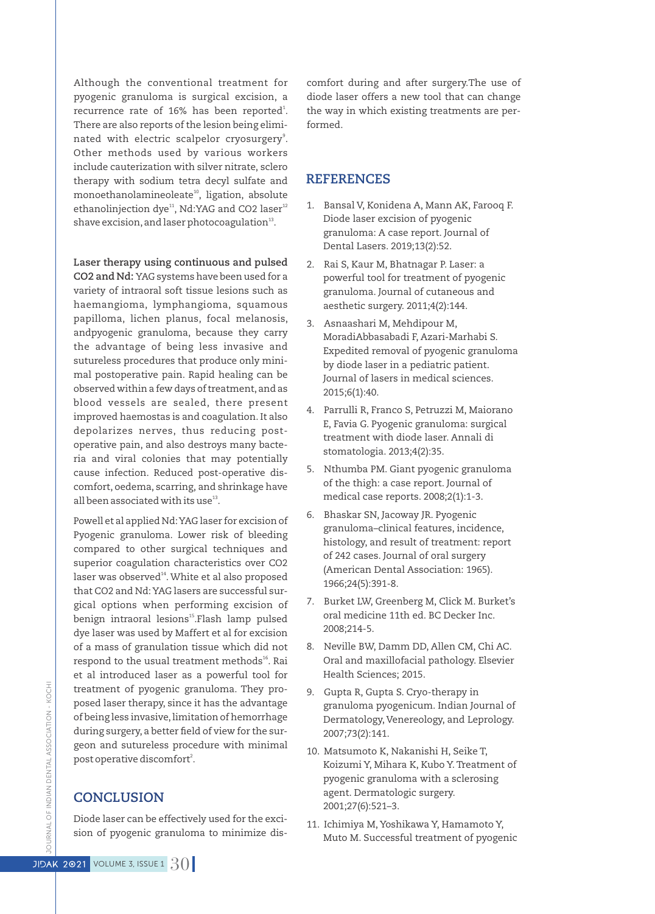Although the conventional treatment for pyogenic granuloma is surgical excision, a recurrence rate of 16% has been reported $^{\rm l}$ . There are also reports of the lesion being eliminated with electric scalpelor cryosurgery<sup>9</sup>. Other methods used by various workers include cauterization with silver nitrate, sclero therapy with sodium tetra decyl sulfate and monoethanolamineoleate<sup>10</sup>, ligation, absolute ethanolinjection dye<sup>11</sup>, Nd:YAG and CO2 laser<sup>12</sup> shave excision, and laser photocoagulation $^{13}$ .

**Laser therapy using continuous and pulsed** 

**CO2 and Nd:** YAG systems have been used for a variety of intraoral soft tissue lesions such as haemangioma, lymphangioma, squamous papilloma, lichen planus, focal melanosis, andpyogenic granuloma, because they carry the advantage of being less invasive and sutureless procedures that produce only minimal postoperative pain. Rapid healing can be observed within a few days of treatment,and as blood vessels are sealed, there present improved haemostas is and coagulation. It also depolarizes nerves, thus reducing postoperative pain, and also destroys many bacteria and viral colonies that may potentially cause infection. Reduced post-operative discomfort, oedema, scarring, and shrinkage have all been associated with its use $^{13}$ .

Powell et al applied Nd: YAG laser for excision of Pyogenic granuloma. Lower risk of bleeding compared to other surgical techniques and superior coagulation characteristics over CO2 laser was observed<sup>14</sup>. White et al also proposed that CO2 and Nd: YAG lasers are successful surgical options when performing excision of benign intraoral lesions<sup>15</sup>.Flash lamp pulsed dye laser was used by Maffert et al for excision of a mass of granulation tissue which did not respond to the usual treatment methods<sup>16</sup>. Rai et al introduced laser as a powerful tool for treatment of pyogenic granuloma. They proposed laser therapy, since it has the advantage of being less invasive, limitation of hemorrhage during surgery, a better field of view for the surgeon and sutureless procedure with minimal post operative discomfort<sup>2</sup>.

## **CONCLUSION**

Diode laser can be effectively used for the excision of pyogenic granuloma to minimize discomfort during and after surgery.The use of diode laser offers a new tool that can change the way in which existing treatments are performed.

#### **REFERENCES**

- 1. Bansal V, Konidena A, Mann AK, Farooq F. Diode laser excision of pyogenic granuloma: A case report. Journal of Dental Lasers. 2019;13(2):52.
- 2. Rai S, Kaur M, Bhatnagar P. Laser: a powerful tool for treatment of pyogenic granuloma. Journal of cutaneous and aesthetic surgery. 2011;4(2):144.
- 3. Asnaashari M, Mehdipour M, MoradiAbbasabadi F, Azari-Marhabi S. Expedited removal of pyogenic granuloma by diode laser in a pediatric patient. Journal of lasers in medical sciences. 2015;6(1):40.
- 4. Parrulli R, Franco S, Petruzzi M, Maiorano E, Favia G. Pyogenic granuloma: surgical treatment with diode laser. Annali di stomatologia. 2013;4(2):35.
- 5. Nthumba PM. Giant pyogenic granuloma of the thigh: a case report. Journal of medical case reports. 2008;2(1):1-3.
- 6. Bhaskar SN, Jacoway JR. Pyogenic granuloma–clinical features, incidence, histology, and result of treatment: report of 242 cases. Journal of oral surgery (American Dental Association: 1965). 1966;24(5):391-8.
- 7. Burket LW, Greenberg M, Click M. Burket's oral medicine 11th ed. BC Decker Inc. 2008;214-5.
- 8. Neville BW, Damm DD, Allen CM, Chi AC. Oral and maxillofacial pathology. Elsevier Health Sciences; 2015.
- 9. Gupta R, Gupta S. Cryo-therapy in granuloma pyogenicum. Indian Journal of Dermatology, Venereology, and Leprology. 2007;73(2):141.
- 10. Matsumoto K, Nakanishi H, Seike T, Koizumi Y, Mihara K, Kubo Y.Treatment of pyogenic granuloma with a sclerosing agent. Dermatologic surgery. 2001;27(6):521–3.
- 11. Ichimiya M, Yoshikawa Y, Hamamoto Y, Muto M. Successful treatment of pyogenic